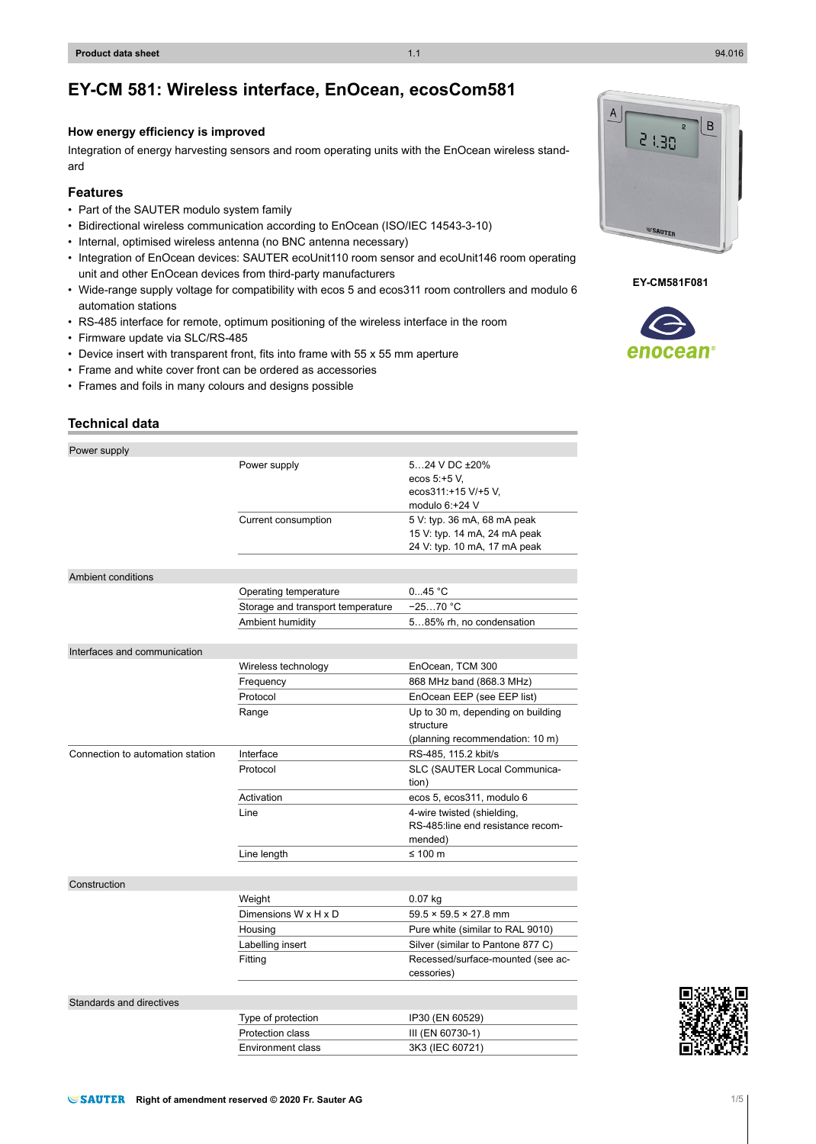# **EY-CM 581: Wireless interface, EnOcean, ecosCom581**

## **How energy efficiency is improved**

Integration of energy harvesting sensors and room operating units with the EnOcean wireless standard

## **Features**

- Part of the SAUTER modulo system family
- Bidirectional wireless communication according to EnOcean (ISO/IEC 14543-3-10)
- Internal, optimised wireless antenna (no BNC antenna necessary)
- Integration of EnOcean devices: SAUTER ecoUnit110 room sensor and ecoUnit146 room operating unit and other EnOcean devices from third-party manufacturers
- Wide-range supply voltage for compatibility with ecos 5 and ecos311 room controllers and modulo 6 automation stations
- RS-485 interface for remote, optimum positioning of the wireless interface in the room
- Firmware update via SLC/RS-485
- Device insert with transparent front, fits into frame with 55 x 55 mm aperture
- Frame and white cover front can be ordered as accessories
- Frames and foils in many colours and designs possible

## **Technical data**

| Power supply                     |                                   |                                                                                             |
|----------------------------------|-----------------------------------|---------------------------------------------------------------------------------------------|
|                                  | Power supply                      | 524 V DC ±20%<br>ecos 5:+5 V.<br>ecos311:+15 V/+5 V,<br>modulo $6:+24$ V                    |
|                                  | Current consumption               | 5 V: typ. 36 mA, 68 mA peak<br>15 V: typ. 14 mA, 24 mA peak<br>24 V: typ. 10 mA, 17 mA peak |
|                                  |                                   |                                                                                             |
| Ambient conditions               |                                   |                                                                                             |
|                                  | Operating temperature             | 045 °C                                                                                      |
|                                  | Storage and transport temperature | $-2570 °C$                                                                                  |
|                                  | Ambient humidity                  | 585% rh, no condensation                                                                    |
| Interfaces and communication     |                                   |                                                                                             |
|                                  | Wireless technology               | EnOcean, TCM 300                                                                            |
|                                  | Frequency                         | 868 MHz band (868.3 MHz)                                                                    |
|                                  | Protocol                          | EnOcean EEP (see EEP list)                                                                  |
|                                  | Range                             | Up to 30 m, depending on building<br>structure<br>(planning recommendation: 10 m)           |
| Connection to automation station | Interface                         | RS-485, 115.2 kbit/s                                                                        |
|                                  | Protocol                          | SLC (SAUTER Local Communica-<br>tion)                                                       |
|                                  | Activation                        | ecos 5, ecos311, modulo 6                                                                   |
|                                  | Line                              | 4-wire twisted (shielding,<br>RS-485:line end resistance recom-<br>mended)                  |
|                                  | Line length                       | ≤ 100 $m$                                                                                   |
|                                  |                                   |                                                                                             |
| Construction                     |                                   |                                                                                             |
|                                  | Weight                            | $0.07$ kg                                                                                   |
|                                  | Dimensions W x H x D              | $59.5 \times 59.5 \times 27.8$ mm                                                           |
|                                  | Housing                           | Pure white (similar to RAL 9010)                                                            |
|                                  | Labelling insert                  | Silver (similar to Pantone 877 C)                                                           |
|                                  | Fitting                           | Recessed/surface-mounted (see ac-<br>cessories)                                             |
|                                  |                                   |                                                                                             |
| Standards and directives         |                                   |                                                                                             |
|                                  | Type of protection                | IP30 (EN 60529)                                                                             |
|                                  | Protection class                  | III (EN 60730-1)                                                                            |
|                                  | Environment class                 | 3K3 (IEC 60721)                                                                             |



**EY-CM581F081**

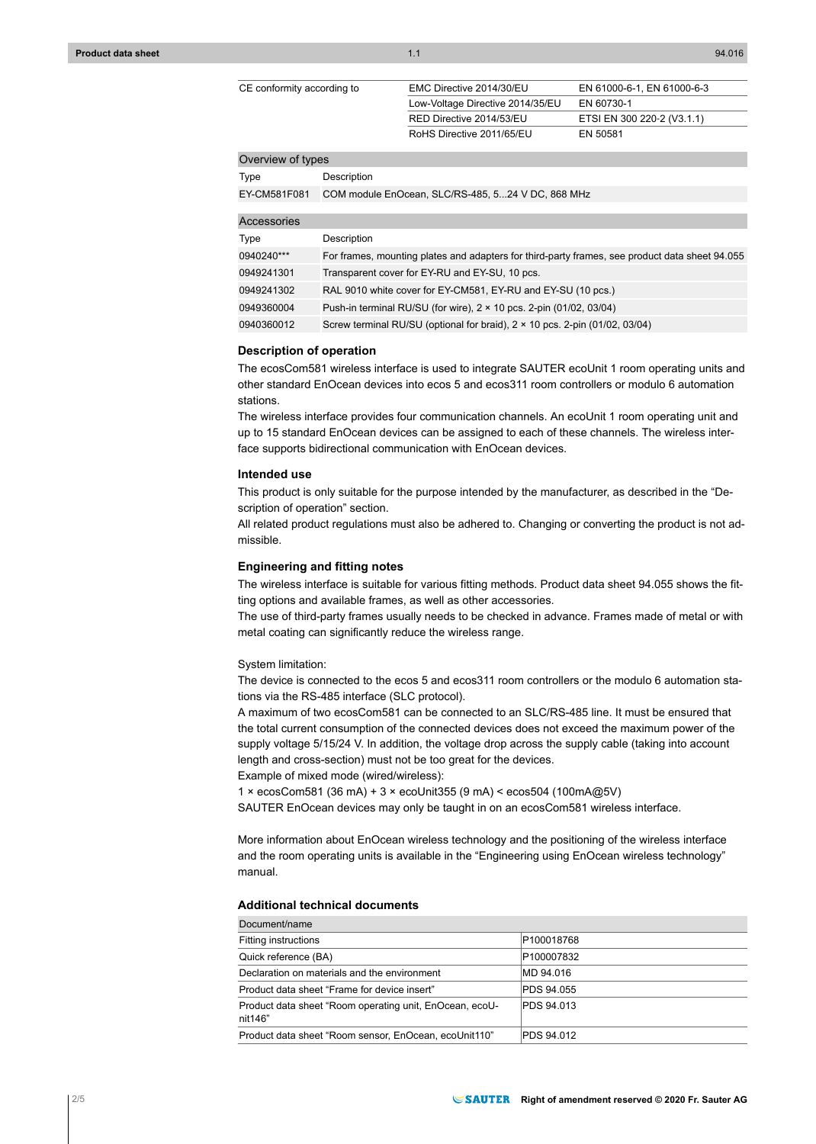| CE conformity according to | EMC Directive 2014/30/EU         | EN 61000-6-1, EN 61000-6-3 |
|----------------------------|----------------------------------|----------------------------|
|                            | Low-Voltage Directive 2014/35/EU | EN 60730-1                 |
|                            | RED Directive 2014/53/EU         | ETSI EN 300 220-2 (V3.1.1) |
|                            | RoHS Directive 2011/65/EU        | EN 50581                   |

#### Overview of types

Type Description

| EY-CM581F081 COM module EnOcean, SLC/RS-485, 524 V DC, 868 MHz |  |  |
|----------------------------------------------------------------|--|--|
|                                                                |  |  |

| Accessories |                                                                                                |
|-------------|------------------------------------------------------------------------------------------------|
| Type        | Description                                                                                    |
| 0940240***  | For frames, mounting plates and adapters for third-party frames, see product data sheet 94.055 |
| 0949241301  | Transparent cover for EY-RU and EY-SU, 10 pcs.                                                 |
| 0949241302  | RAL 9010 white cover for EY-CM581, EY-RU and EY-SU (10 pcs.)                                   |
| 0949360004  | Push-in terminal RU/SU (for wire), 2 × 10 pcs. 2-pin (01/02, 03/04)                            |
| 0940360012  | Screw terminal RU/SU (optional for braid), 2 × 10 pcs. 2-pin (01/02, 03/04)                    |

#### **Description of operation**

The ecosCom581 wireless interface is used to integrate SAUTER ecoUnit 1 room operating units and other standard EnOcean devices into ecos 5 and ecos311 room controllers or modulo 6 automation stations.

The wireless interface provides four communication channels. An ecoUnit 1 room operating unit and up to 15 standard EnOcean devices can be assigned to each of these channels. The wireless interface supports bidirectional communication with EnOcean devices.

## **Intended use**

This product is only suitable for the purpose intended by the manufacturer, as described in the "Description of operation" section.

All related product regulations must also be adhered to. Changing or converting the product is not admissible.

#### **Engineering and fitting notes**

The wireless interface is suitable for various fitting methods. Product data sheet 94.055 shows the fitting options and available frames, as well as other accessories.

The use of third-party frames usually needs to be checked in advance. Frames made of metal or with metal coating can significantly reduce the wireless range.

#### System limitation:

The device is connected to the ecos 5 and ecos311 room controllers or the modulo 6 automation stations via the RS-485 interface (SLC protocol).

A maximum of two ecosCom581 can be connected to an SLC/RS-485 line. It must be ensured that the total current consumption of the connected devices does not exceed the maximum power of the supply voltage 5/15/24 V. In addition, the voltage drop across the supply cable (taking into account length and cross-section) must not be too great for the devices.

Example of mixed mode (wired/wireless):

1 × ecosCom581 (36 mA) + 3 × ecoUnit355 (9 mA) < ecos504 (100mA@5V)

SAUTER EnOcean devices may only be taught in on an ecosCom581 wireless interface.

More information about EnOcean wireless technology and the positioning of the wireless interface and the room operating units is available in the "Engineering using EnOcean wireless technology" manual.

## **Additional technical documents**

| Document/name                                                      |            |
|--------------------------------------------------------------------|------------|
| Fitting instructions                                               | P100018768 |
| Quick reference (BA)                                               | P100007832 |
| Declaration on materials and the environment                       | MD 94.016  |
| Product data sheet "Frame for device insert"                       | PDS 94.055 |
| Product data sheet "Room operating unit, EnOcean, ecoU-<br>nit146" | PDS 94.013 |
| Product data sheet "Room sensor, EnOcean, ecoUnit110"              | PDS 94.012 |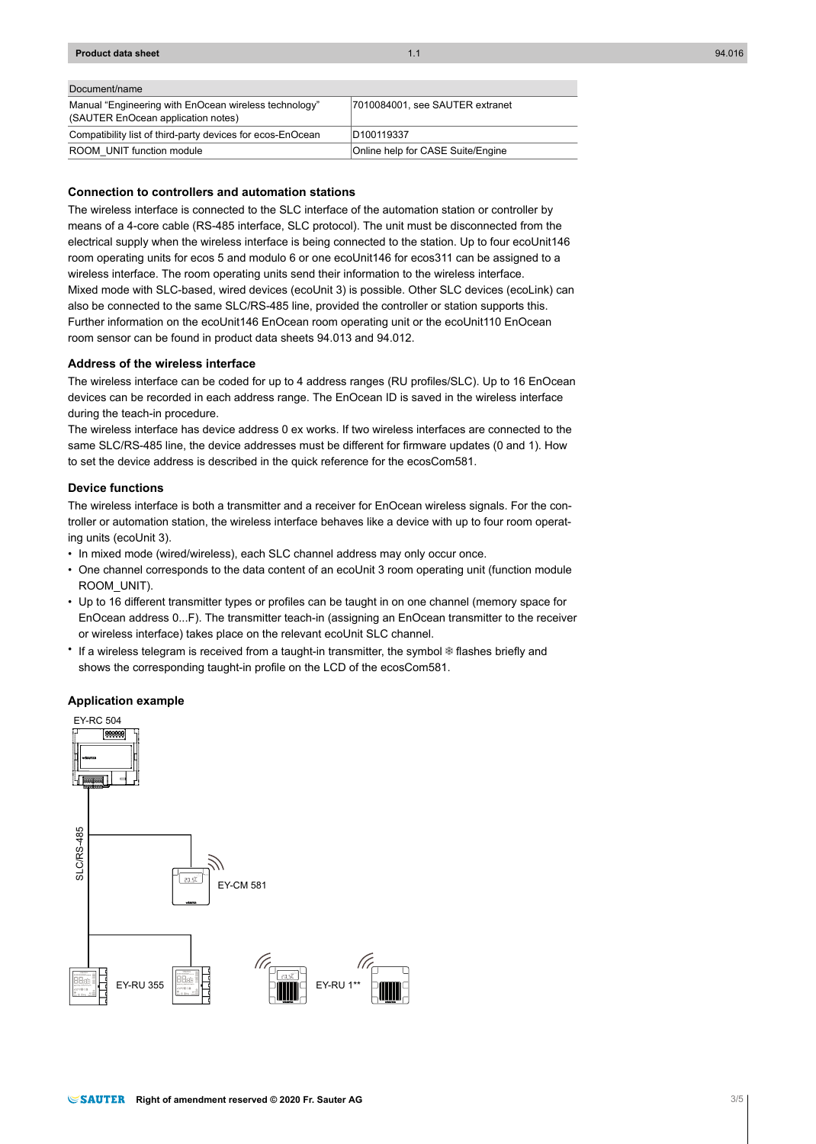## **Product data sheet** 1.1 94.016

#### Document/name

| Manual "Engineering with EnOcean wireless technology"<br>(SAUTER EnOcean application notes) | 7010084001, see SAUTER extranet   |
|---------------------------------------------------------------------------------------------|-----------------------------------|
| Compatibility list of third-party devices for ecos-EnOcean                                  | D <sub>100119337</sub>            |
| ROOM UNIT function module                                                                   | Online help for CASE Suite/Engine |

## **Connection to controllers and automation stations**

The wireless interface is connected to the SLC interface of the automation station or controller by means of a 4-core cable (RS-485 interface, SLC protocol). The unit must be disconnected from the electrical supply when the wireless interface is being connected to the station. Up to four ecoUnit146 room operating units for ecos 5 and modulo 6 or one ecoUnit146 for ecos311 can be assigned to a wireless interface. The room operating units send their information to the wireless interface. Mixed mode with SLC-based, wired devices (ecoUnit 3) is possible. Other SLC devices (ecoLink) can also be connected to the same SLC/RS-485 line, provided the controller or station supports this. Further information on the ecoUnit146 EnOcean room operating unit or the ecoUnit110 EnOcean room sensor can be found in product data sheets 94.013 and 94.012.

#### **Address of the wireless interface**

The wireless interface can be coded for up to 4 address ranges (RU profiles/SLC). Up to 16 EnOcean devices can be recorded in each address range. The EnOcean ID is saved in the wireless interface during the teach-in procedure.

The wireless interface has device address 0 ex works. If two wireless interfaces are connected to the same SLC/RS-485 line, the device addresses must be different for firmware updates (0 and 1). How to set the device address is described in the quick reference for the ecosCom581.

#### **Device functions**

The wireless interface is both a transmitter and a receiver for EnOcean wireless signals. For the controller or automation station, the wireless interface behaves like a device with up to four room operating units (ecoUnit 3).

- In mixed mode (wired/wireless), each SLC channel address may only occur once.
- One channel corresponds to the data content of an ecoUnit 3 room operating unit (function module ROOM\_UNIT).
- Up to 16 different transmitter types or profiles can be taught in on one channel (memory space for EnOcean address 0...F). The transmitter teach-in (assigning an EnOcean transmitter to the receiver or wireless interface) takes place on the relevant ecoUnit SLC channel.
- If a wireless telegram is received from a taught-in transmitter, the symbol  $\ast$  flashes briefly and shows the corresponding taught-in profile on the LCD of the ecosCom581.

#### **Application example**

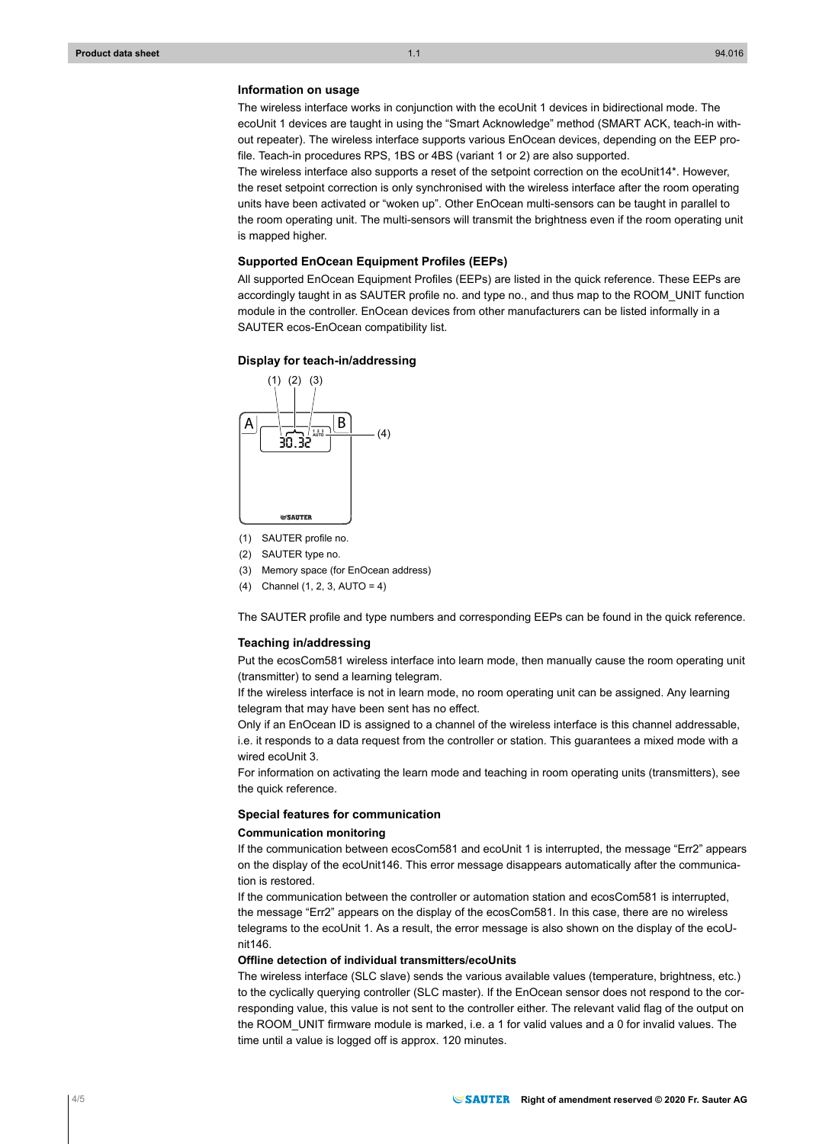## **Information on usage**

The wireless interface works in conjunction with the ecoUnit 1 devices in bidirectional mode. The ecoUnit 1 devices are taught in using the "Smart Acknowledge" method (SMART ACK, teach-in without repeater). The wireless interface supports various EnOcean devices, depending on the EEP profile. Teach-in procedures RPS, 1BS or 4BS (variant 1 or 2) are also supported.

The wireless interface also supports a reset of the setpoint correction on the ecoUnit14\*. However, the reset setpoint correction is only synchronised with the wireless interface after the room operating units have been activated or "woken up". Other EnOcean multi-sensors can be taught in parallel to the room operating unit. The multi-sensors will transmit the brightness even if the room operating unit is mapped higher.

#### **Supported EnOcean Equipment Profiles (EEPs)**

All supported EnOcean Equipment Profiles (EEPs) are listed in the quick reference. These EEPs are accordingly taught in as SAUTER profile no. and type no., and thus map to the ROOM\_UNIT function module in the controller. EnOcean devices from other manufacturers can be listed informally in a SAUTER ecos-EnOcean compatibility list.

#### **Display for teach-in/addressing**



- (1) SAUTER profile no.
- (2) SAUTER type no.
- (3) Memory space (for EnOcean address)
- (4) Channel (1, 2, 3, AUTO = 4)

The SAUTER profile and type numbers and corresponding EEPs can be found in the quick reference.

#### **Teaching in/addressing**

Put the ecosCom581 wireless interface into learn mode, then manually cause the room operating unit (transmitter) to send a learning telegram.

If the wireless interface is not in learn mode, no room operating unit can be assigned. Any learning telegram that may have been sent has no effect.

Only if an EnOcean ID is assigned to a channel of the wireless interface is this channel addressable, i.e. it responds to a data request from the controller or station. This guarantees a mixed mode with a wired ecoUnit 3.

For information on activating the learn mode and teaching in room operating units (transmitters), see the quick reference.

#### **Special features for communication**

## **Communication monitoring**

If the communication between ecosCom581 and ecoUnit 1 is interrupted, the message "Err2" appears on the display of the ecoUnit146. This error message disappears automatically after the communication is restored.

If the communication between the controller or automation station and ecosCom581 is interrupted, the message "Err2" appears on the display of the ecosCom581. In this case, there are no wireless telegrams to the ecoUnit 1. As a result, the error message is also shown on the display of the ecoUnit146.

#### **Offline detection of individual transmitters/ecoUnits**

The wireless interface (SLC slave) sends the various available values (temperature, brightness, etc.) to the cyclically querying controller (SLC master). If the EnOcean sensor does not respond to the corresponding value, this value is not sent to the controller either. The relevant valid flag of the output on the ROOM\_UNIT firmware module is marked, i.e. a 1 for valid values and a 0 for invalid values. The time until a value is logged off is approx. 120 minutes.